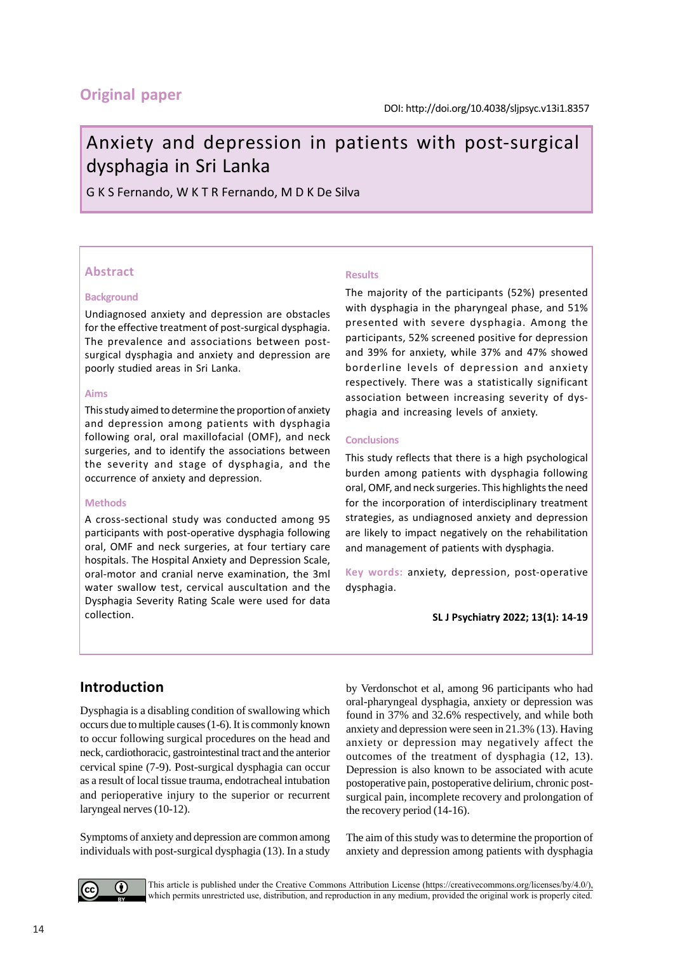# **Original paper**

# Anxiety and depression in patients with post-surgical dysphagia in Sri Lanka

G K S Fernando, W K T R Fernando, M D K De Silva

## **Abstract**

#### **Background**

Undiagnosed anxiety and depression are obstacles for the effective treatment of post-surgical dysphagia. The prevalence and associations between postsurgical dysphagia and anxiety and depression are poorly studied areas in Sri Lanka.

#### **Aims**

This study aimed to determine the proportion of anxiety and depression among patients with dysphagia following oral, oral maxillofacial (OMF), and neck surgeries, and to identify the associations between the severity and stage of dysphagia, and the occurrence of anxiety and depression.

#### **Methods**

A cross-sectional study was conducted among 95 participants with post-operative dysphagia following oral, OMF and neck surgeries, at four tertiary care hospitals. The Hospital Anxiety and Depression Scale, oral-motor and cranial nerve examination, the 3ml water swallow test, cervical auscultation and the Dysphagia Severity Rating Scale were used for data collection.

## **Results**

The majority of the participants (52%) presented with dysphagia in the pharyngeal phase, and 51% presented with severe dysphagia. Among the participants, 52% screened positive for depression and 39% for anxiety, while 37% and 47% showed borderline levels of depression and anxiety respectively. There was a statistically significant association between increasing severity of dysphagia and increasing levels of anxiety.

#### **Conclusions**

This study reflects that there is a high psychological burden among patients with dysphagia following oral, OMF, and neck surgeries. This highlights the need for the incorporation of interdisciplinary treatment strategies, as undiagnosed anxiety and depression are likely to impact negatively on the rehabilitation and management of patients with dysphagia.

**Key words:** anxiety, depression, post-operative dysphagia.

**SL J Psychiatry 2022; 13(1): 14-19**

# **Introduction**

Dysphagia is a disabling condition of swallowing which occurs due to multiple causes (1-6). It is commonly known to occur following surgical procedures on the head and neck, cardiothoracic, gastrointestinal tract and the anterior cervical spine (7-9). Post-surgical dysphagia can occur as a result of local tissue trauma, endotracheal intubation and perioperative injury to the superior or recurrent laryngeal nerves (10-12).

Symptoms of anxiety and depression are common among individuals with post-surgical dysphagia (13). In a study by Verdonschot et al, among 96 participants who had oral-pharyngeal dysphagia, anxiety or depression was found in 37% and 32.6% respectively, and while both anxiety and depression were seen in 21.3% (13). Having anxiety or depression may negatively affect the outcomes of the treatment of dysphagia (12, 13). Depression is also known to be associated with acute postoperative pain, postoperative delirium, chronic postsurgical pain, incomplete recovery and prolongation of the recovery period (14-16).

The aim of this study was to determine the proportion of anxiety and depression among patients with dysphagia

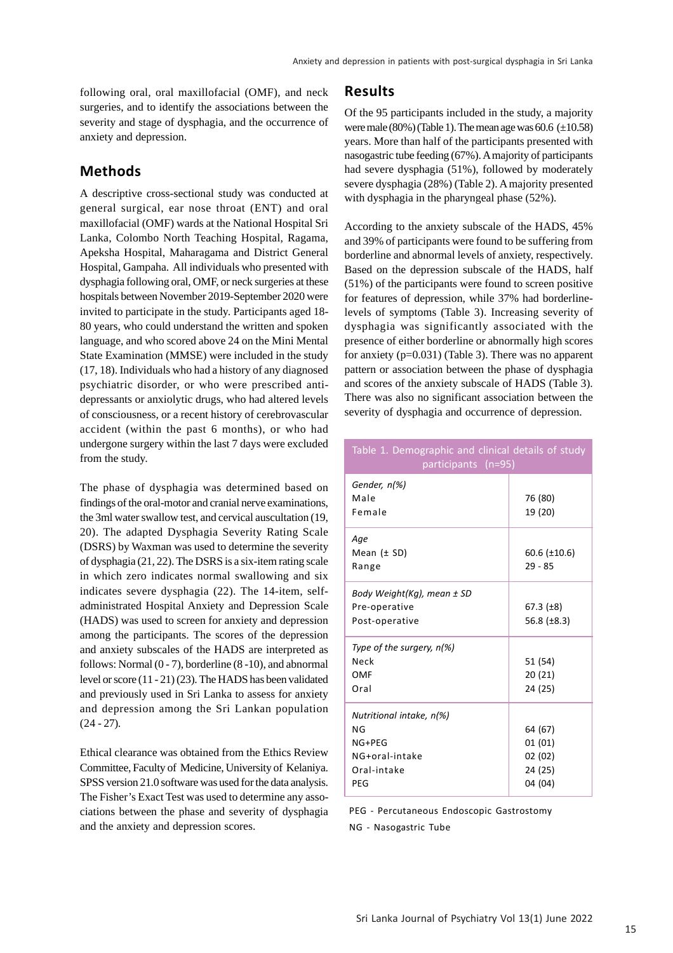following oral, oral maxillofacial (OMF), and neck surgeries, and to identify the associations between the severity and stage of dysphagia, and the occurrence of anxiety and depression.

## **Methods**

A descriptive cross-sectional study was conducted at general surgical, ear nose throat (ENT) and oral maxillofacial (OMF) wards at the National Hospital Sri Lanka, Colombo North Teaching Hospital, Ragama, Apeksha Hospital, Maharagama and District General Hospital, Gampaha. All individuals who presented with dysphagia following oral, OMF, or neck surgeries at these hospitals between November 2019-September 2020 were invited to participate in the study. Participants aged 18- 80 years, who could understand the written and spoken language, and who scored above 24 on the Mini Mental State Examination (MMSE) were included in the study (17, 18). Individuals who had a history of any diagnosed psychiatric disorder, or who were prescribed antidepressants or anxiolytic drugs, who had altered levels of consciousness, or a recent history of cerebrovascular accident (within the past 6 months), or who had undergone surgery within the last 7 days were excluded from the study.

The phase of dysphagia was determined based on findings of the oral-motor and cranial nerve examinations, the 3ml water swallow test, and cervical auscultation (19, 20). The adapted Dysphagia Severity Rating Scale (DSRS) by Waxman was used to determine the severity of dysphagia (21, 22). The DSRS is a six-item rating scale in which zero indicates normal swallowing and six indicates severe dysphagia (22). The 14-item, selfadministrated Hospital Anxiety and Depression Scale (HADS) was used to screen for anxiety and depression among the participants. The scores of the depression and anxiety subscales of the HADS are interpreted as follows: Normal  $(0 - 7)$ , borderline  $(8 - 10)$ , and abnormal level or score (11 - 21) (23). The HADS has been validated and previously used in Sri Lanka to assess for anxiety and depression among the Sri Lankan population  $(24 - 27)$ .

Ethical clearance was obtained from the Ethics Review Committee, Faculty of Medicine, University of Kelaniya. SPSS version 21.0 software was used for the data analysis. The Fisher's Exact Test was used to determine any associations between the phase and severity of dysphagia and the anxiety and depression scores.

## **Results**

Of the 95 participants included in the study, a majority were male  $(80\%)$  (Table 1). The mean age was  $60.6$  ( $\pm$ 10.58) years. More than half of the participants presented with nasogastric tube feeding (67%). A majority of participants had severe dysphagia (51%), followed by moderately severe dysphagia (28%) (Table 2). A majority presented with dysphagia in the pharyngeal phase (52%).

According to the anxiety subscale of the HADS, 45% and 39% of participants were found to be suffering from borderline and abnormal levels of anxiety, respectively. Based on the depression subscale of the HADS, half (51%) of the participants were found to screen positive for features of depression, while 37% had borderlinelevels of symptoms (Table 3). Increasing severity of dysphagia was significantly associated with the presence of either borderline or abnormally high scores for anxiety (p=0.031) (Table 3). There was no apparent pattern or association between the phase of dysphagia and scores of the anxiety subscale of HADS (Table 3). There was also no significant association between the severity of dysphagia and occurrence of depression.

| Table 1. Demographic and clinical details of study<br>participants (n=95)        |                                                   |  |  |  |  |
|----------------------------------------------------------------------------------|---------------------------------------------------|--|--|--|--|
| Gender, n(%)<br>Male<br>Female                                                   | 76 (80)<br>19 (20)                                |  |  |  |  |
| Age<br>Mean $(± SD)$<br>Range                                                    | $60.6$ ( $\pm$ 10.6)<br>$29 - 85$                 |  |  |  |  |
| Body Weight(Kg), mean ± SD<br>Pre-operative<br>Post-operative                    | 67.3 $(+8)$<br>56.8 $(\pm 8.3)$                   |  |  |  |  |
| Type of the surgery, $n(\%)$<br>Neck<br>OMF<br>Oral                              | 51 (54)<br>20(21)<br>24 (25)                      |  |  |  |  |
| Nutritional intake, n(%)<br>ΝG<br>NG+PEG<br>NG+oral-intake<br>Oral-intake<br>PEG | 64 (67)<br>01(01)<br>02(02)<br>24 (25)<br>04 (04) |  |  |  |  |

PEG - Percutaneous Endoscopic Gastrostomy NG - Nasogastric Tube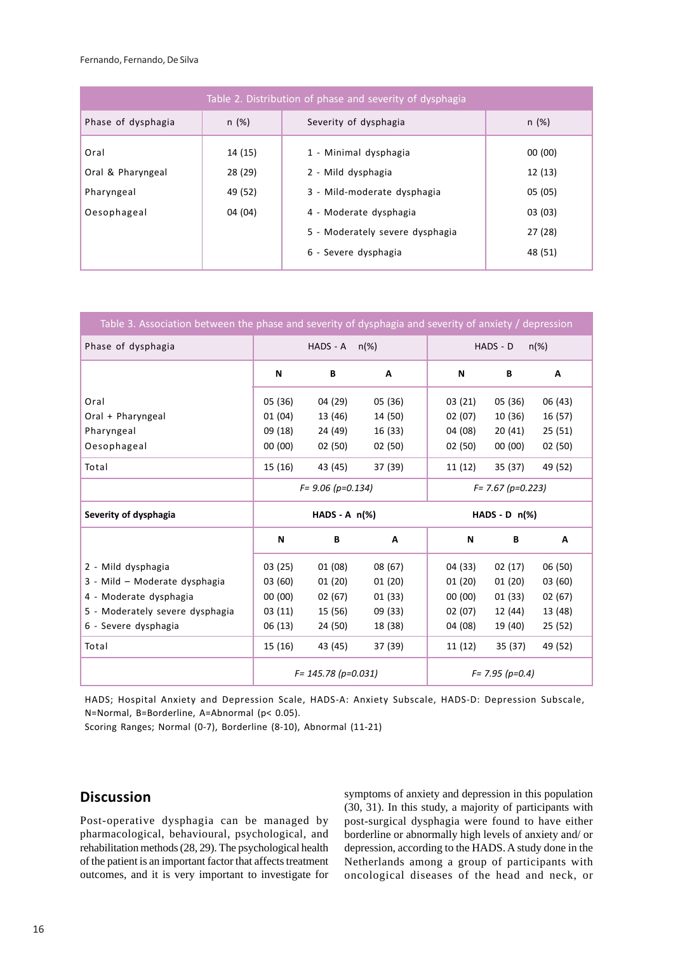Fernando, Fernando, De Silva

| Table 2. Distribution of phase and severity of dysphagia |                    |                                                         |                    |  |  |  |  |  |
|----------------------------------------------------------|--------------------|---------------------------------------------------------|--------------------|--|--|--|--|--|
| Phase of dysphagia                                       | n(%)               | Severity of dysphagia                                   | n(%)               |  |  |  |  |  |
| Oral<br>Oral & Pharyngeal                                | 14 (15)<br>28 (29) | 1 - Minimal dysphagia<br>2 - Mild dysphagia             | 00(00)<br>12 (13)  |  |  |  |  |  |
| Pharyngeal<br>Oesophageal                                | 49 (52)<br>04 (04) | 3 - Mild-moderate dysphagia<br>4 - Moderate dysphagia   | 05 (05)<br>03(03)  |  |  |  |  |  |
|                                                          |                    | 5 - Moderately severe dysphagia<br>6 - Severe dysphagia | 27 (28)<br>48 (51) |  |  |  |  |  |

| Table 3. Association between the phase and severity of dysphagia and severity of anxiety / depression |                      |         |                      |                     |                  |         |  |  |  |
|-------------------------------------------------------------------------------------------------------|----------------------|---------|----------------------|---------------------|------------------|---------|--|--|--|
| Phase of dysphagia                                                                                    | HADS - A<br>$n(\%)$  |         |                      | HADS - D<br>$n(\%)$ |                  |         |  |  |  |
|                                                                                                       | N                    | В       | Α                    | N                   | B                | Α       |  |  |  |
| Oral                                                                                                  | 05 (36)              | 04 (29) | 05(36)               | 03(21)              | 05(36)           | 06 (43) |  |  |  |
| Oral + Pharyngeal                                                                                     | 01(04)               | 13 (46) | 14 (50)              | 02(07)              | 10 (36)          | 16 (57) |  |  |  |
| Pharyngeal                                                                                            | 09 (18)              | 24 (49) | 16 (33)              | 04 (08)             | 20(41)           | 25(51)  |  |  |  |
| Oesophageal                                                                                           | 00(00)               | 02(50)  | 02(50)               | 02(50)              | 00(00)           | 02(50)  |  |  |  |
| Total                                                                                                 | 15 (16)              | 43 (45) | 37 (39)              | 11 (12)             | 35 (37)          | 49 (52) |  |  |  |
|                                                                                                       | $F = 9.06$ (p=0.134) |         | $F = 7.67 (p=0.223)$ |                     |                  |         |  |  |  |
|                                                                                                       | $HADS - A n(*)$      |         |                      |                     |                  |         |  |  |  |
| Severity of dysphagia                                                                                 |                      |         |                      |                     | $HADS - D n(\%)$ |         |  |  |  |
|                                                                                                       | N                    | B       | Α                    | N                   | В                | Α       |  |  |  |
| 2 - Mild dysphagia                                                                                    | 03(25)               | 01(08)  | 08 (67)              | 04 (33)             | 02(17)           | 06 (50) |  |  |  |
| 3 - Mild - Moderate dysphagia                                                                         | 03(60)               | 01(20)  | 01(20)               | 01(20)              | 01(20)           | 03(60)  |  |  |  |
| 4 - Moderate dysphagia                                                                                | 00(00)               | 02(67)  | 01(33)               | 00(00)              | 01(33)           | 02(67)  |  |  |  |
| 5 - Moderately severe dysphagia                                                                       | 03(11)               | 15 (56) | 09(33)               | 02(07)              | 12 (44)          | 13 (48) |  |  |  |
| 6 - Severe dysphagia                                                                                  | 06(13)               | 24 (50) | 18 (38)              | 04 (08)             | 19 (40)          | 25 (52) |  |  |  |
| Total                                                                                                 | 15 (16)              | 43 (45) | 37 (39)              | 11(12)              | 35(37)           | 49 (52) |  |  |  |

HADS; Hospital Anxiety and Depression Scale, HADS-A: Anxiety Subscale, HADS-D: Depression Subscale, N=Normal, B=Borderline, A=Abnormal (p< 0.05).

Scoring Ranges; Normal (0-7), Borderline (8-10), Abnormal (11-21)

# **Discussion**

Post-operative dysphagia can be managed by pharmacological, behavioural, psychological, and rehabilitation methods (28, 29). The psychological health of the patient is an important factor that affects treatment outcomes, and it is very important to investigate for symptoms of anxiety and depression in this population (30, 31). In this study, a majority of participants with post-surgical dysphagia were found to have either borderline or abnormally high levels of anxiety and/ or depression, according to the HADS. A study done in the Netherlands among a group of participants with oncological diseases of the head and neck, or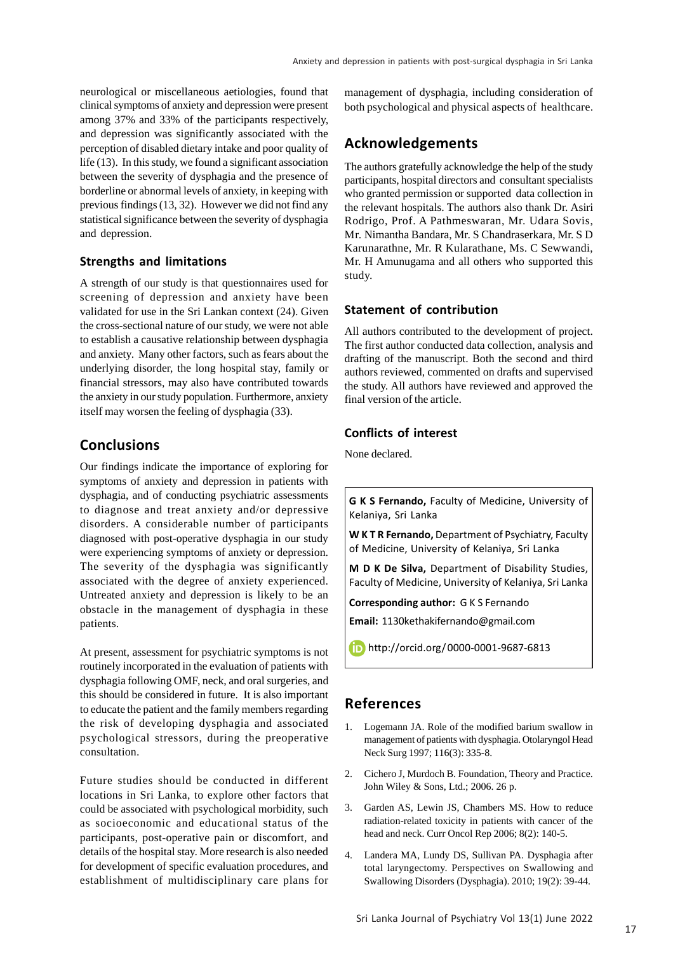neurological or miscellaneous aetiologies, found that clinical symptoms of anxiety and depression were present among 37% and 33% of the participants respectively, and depression was significantly associated with the perception of disabled dietary intake and poor quality of life (13). In this study, we found a significant association between the severity of dysphagia and the presence of borderline or abnormal levels of anxiety, in keeping with previous findings (13, 32). However we did not find any statistical significance between the severity of dysphagia and depression.

## **Strengths and limitations**

A strength of our study is that questionnaires used for screening of depression and anxiety have been validated for use in the Sri Lankan context (24). Given the cross-sectional nature of our study, we were not able to establish a causative relationship between dysphagia and anxiety. Many other factors, such as fears about the underlying disorder, the long hospital stay, family or financial stressors, may also have contributed towards the anxiety in our study population. Furthermore, anxiety itself may worsen the feeling of dysphagia (33).

## **Conclusions**

Our findings indicate the importance of exploring for symptoms of anxiety and depression in patients with dysphagia, and of conducting psychiatric assessments to diagnose and treat anxiety and/or depressive disorders. A considerable number of participants diagnosed with post-operative dysphagia in our study were experiencing symptoms of anxiety or depression. The severity of the dysphagia was significantly associated with the degree of anxiety experienced. Untreated anxiety and depression is likely to be an obstacle in the management of dysphagia in these patients.

At present, assessment for psychiatric symptoms is not routinely incorporated in the evaluation of patients with dysphagia following OMF, neck, and oral surgeries, and this should be considered in future. It is also important to educate the patient and the family members regarding the risk of developing dysphagia and associated psychological stressors, during the preoperative consultation.

Future studies should be conducted in different locations in Sri Lanka, to explore other factors that could be associated with psychological morbidity, such as socioeconomic and educational status of the participants, post-operative pain or discomfort, and details of the hospital stay. More research is also needed for development of specific evaluation procedures, and establishment of multidisciplinary care plans for

management of dysphagia, including consideration of both psychological and physical aspects of healthcare.

# **Acknowledgements**

The authors gratefully acknowledge the help of the study participants, hospital directors and consultant specialists who granted permission or supported data collection in the relevant hospitals. The authors also thank Dr. Asiri Rodrigo, Prof. A Pathmeswaran, Mr. Udara Sovis, Mr. Nimantha Bandara, Mr. S Chandraserkara, Mr. S D Karunarathne, Mr. R Kularathane, Ms. C Sewwandi, Mr. H Amunugama and all others who supported this study.

#### **Statement of contribution**

All authors contributed to the development of project. The first author conducted data collection, analysis and drafting of the manuscript. Both the second and third authors reviewed, commented on drafts and supervised the study. All authors have reviewed and approved the final version of the article.

## **Conflicts of interest**

None declared.

**G K S Fernando,** Faculty of Medicine, University of Kelaniya, Sri Lanka

**W K T R Fernando,** Department of Psychiatry, Faculty of Medicine, University of Kelaniya, Sri Lanka

**M D K De Silva,** Department of Disability Studies, Faculty of Medicine, University of Kelaniya, Sri Lanka

**Corresponding author:** G K S Fernando

**Email:** 1130kethakifernando@gmail.com

http://orcid.org/ 0000-0001-9687-6813

## **References**

- 1. Logemann JA. Role of the modified barium swallow in management of patients with dysphagia. Otolaryngol Head Neck Surg 1997; 116(3): 335-8.
- 2. Cichero J, Murdoch B. Foundation, Theory and Practice. John Wiley & Sons, Ltd.; 2006. 26 p.
- 3. Garden AS, Lewin JS, Chambers MS. How to reduce radiation-related toxicity in patients with cancer of the head and neck. Curr Oncol Rep 2006; 8(2): 140-5.
- 4. Landera MA, Lundy DS, Sullivan PA. Dysphagia after total laryngectomy. Perspectives on Swallowing and Swallowing Disorders (Dysphagia). 2010; 19(2): 39-44.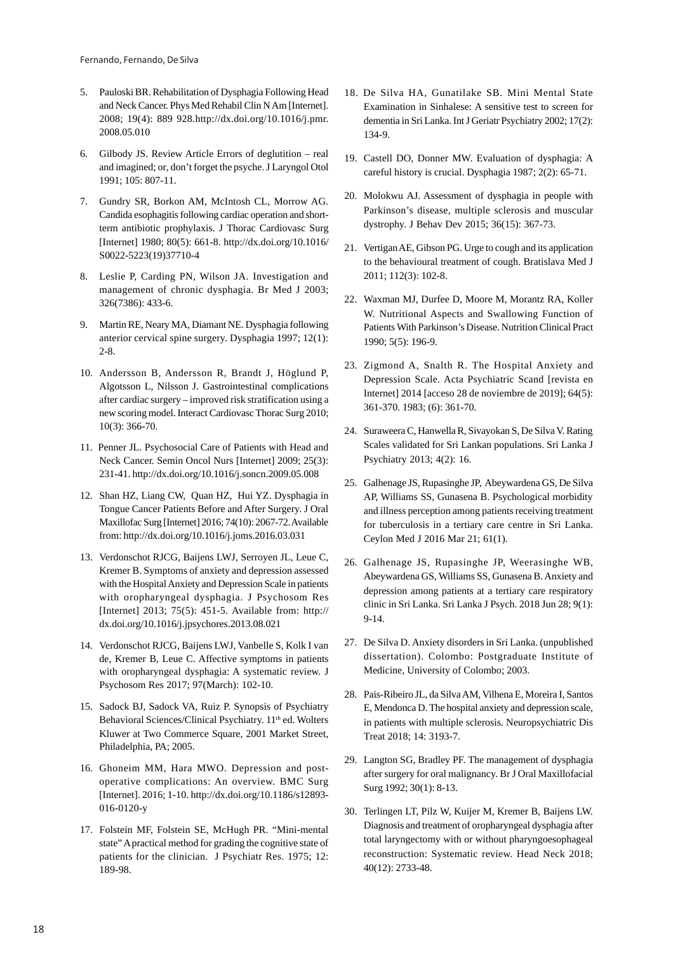- 5. Pauloski BR. Rehabilitation of Dysphagia Following Head and Neck Cancer. Phys Med Rehabil Clin N Am [Internet]. 2008; 19(4): 889 928.http://dx.doi.org/10.1016/j.pmr. 2008.05.010
- 6. Gilbody JS. Review Article Errors of deglutition real and imagined; or, don't forget the psyche. J Laryngol Otol 1991; 105: 807-11.
- 7. Gundry SR, Borkon AM, McIntosh CL, Morrow AG. Candida esophagitis following cardiac operation and shortterm antibiotic prophylaxis. J Thorac Cardiovasc Surg [Internet] 1980; 80(5): 661-8. http://dx.doi.org/10.1016/ S0022-5223(19)37710-4
- 8. Leslie P, Carding PN, Wilson JA. Investigation and management of chronic dysphagia. Br Med J 2003; 326(7386): 433-6.
- 9. Martin RE, Neary MA, Diamant NE. Dysphagia following anterior cervical spine surgery. Dysphagia 1997; 12(1): 2-8.
- 10. Andersson B, Andersson R, Brandt J, Höglund P, Algotsson L, Nilsson J. Gastrointestinal complications after cardiac surgery – improved risk stratification using a new scoring model. Interact Cardiovasc Thorac Surg 2010; 10(3): 366-70.
- 11. Penner JL. Psychosocial Care of Patients with Head and Neck Cancer. Semin Oncol Nurs [Internet] 2009; 25(3): 231-41. http://dx.doi.org/10.1016/j.soncn.2009.05.008
- 12. Shan HZ, Liang CW, Quan HZ, Hui YZ. Dysphagia in Tongue Cancer Patients Before and After Surgery. J Oral Maxillofac Surg [Internet] 2016; 74(10): 2067-72. Available from: http://dx.doi.org/10.1016/j.joms.2016.03.031
- 13. Verdonschot RJCG, Baijens LWJ, Serroyen JL, Leue C, Kremer B. Symptoms of anxiety and depression assessed with the Hospital Anxiety and Depression Scale in patients with oropharyngeal dysphagia. J Psychosom Res [Internet] 2013; 75(5): 451-5. Available from: http:// dx.doi.org/10.1016/j.jpsychores.2013.08.021
- 14. Verdonschot RJCG, Baijens LWJ, Vanbelle S, Kolk I van de, Kremer B, Leue C. Affective symptoms in patients with oropharyngeal dysphagia: A systematic review. J Psychosom Res 2017; 97(March): 102-10.
- 15. Sadock BJ, Sadock VA, Ruiz P. Synopsis of Psychiatry Behavioral Sciences/Clinical Psychiatry. 11<sup>th</sup> ed. Wolters Kluwer at Two Commerce Square, 2001 Market Street, Philadelphia, PA; 2005.
- 16. Ghoneim MM, Hara MWO. Depression and postoperative complications: An overview. BMC Surg [Internet]. 2016; 1-10. http://dx.doi.org/10.1186/s12893- 016-0120-y
- 17. Folstein MF, Folstein SE, McHugh PR. "Mini-mental state" A practical method for grading the cognitive state of patients for the clinician. J Psychiatr Res. 1975; 12: 189-98.
- 18. De Silva HA, Gunatilake SB. Mini Mental State Examination in Sinhalese: A sensitive test to screen for dementia in Sri Lanka. Int J Geriatr Psychiatry 2002; 17(2): 134-9.
- 19. Castell DO, Donner MW. Evaluation of dysphagia: A careful history is crucial. Dysphagia 1987; 2(2): 65-71.
- 20. Molokwu AJ. Assessment of dysphagia in people with Parkinson's disease, multiple sclerosis and muscular dystrophy. J Behav Dev 2015; 36(15): 367-73.
- 21. Vertigan AE, Gibson PG. Urge to cough and its application to the behavioural treatment of cough. Bratislava Med J 2011; 112(3): 102-8.
- 22. Waxman MJ, Durfee D, Moore M, Morantz RA, Koller W. Nutritional Aspects and Swallowing Function of Patients With Parkinson's Disease. Nutrition Clinical Pract 1990; 5(5): 196-9.
- 23. Zigmond A, Snalth R. The Hospital Anxiety and Depression Scale. Acta Psychiatric Scand [revista en Internet] 2014 [acceso 28 de noviembre de 2019]; 64(5): 361-370. 1983; (6): 361-70.
- 24. Suraweera C, Hanwella R, Sivayokan S, De Silva V. Rating Scales validated for Sri Lankan populations. Sri Lanka J Psychiatry 2013; 4(2): 16.
- 25. Galhenage JS, Rupasinghe JP, Abeywardena GS, De Silva AP, Williams SS, Gunasena B. Psychological morbidity and illness perception among patients receiving treatment for tuberculosis in a tertiary care centre in Sri Lanka. Ceylon Med J 2016 Mar 21; 61(1).
- 26. Galhenage JS, Rupasinghe JP, Weerasinghe WB, Abeywardena GS, Williams SS, Gunasena B. Anxiety and depression among patients at a tertiary care respiratory clinic in Sri Lanka. Sri Lanka J Psych. 2018 Jun 28; 9(1): 9-14.
- 27. De Silva D. Anxiety disorders in Sri Lanka. (unpublished dissertation). Colombo: Postgraduate Institute of Medicine, University of Colombo; 2003.
- 28. Pais-Ribeiro JL, da Silva AM, Vilhena E, Moreira I, Santos E, Mendonca D. The hospital anxiety and depression scale, in patients with multiple sclerosis. Neuropsychiatric Dis Treat 2018; 14: 3193-7.
- 29. Langton SG, Bradley PF. The management of dysphagia after surgery for oral malignancy. Br J Oral Maxillofacial Surg 1992; 30(1): 8-13.
- 30. Terlingen LT, Pilz W, Kuijer M, Kremer B, Baijens LW. Diagnosis and treatment of oropharyngeal dysphagia after total laryngectomy with or without pharyngoesophageal reconstruction: Systematic review. Head Neck 2018; 40(12): 2733-48.